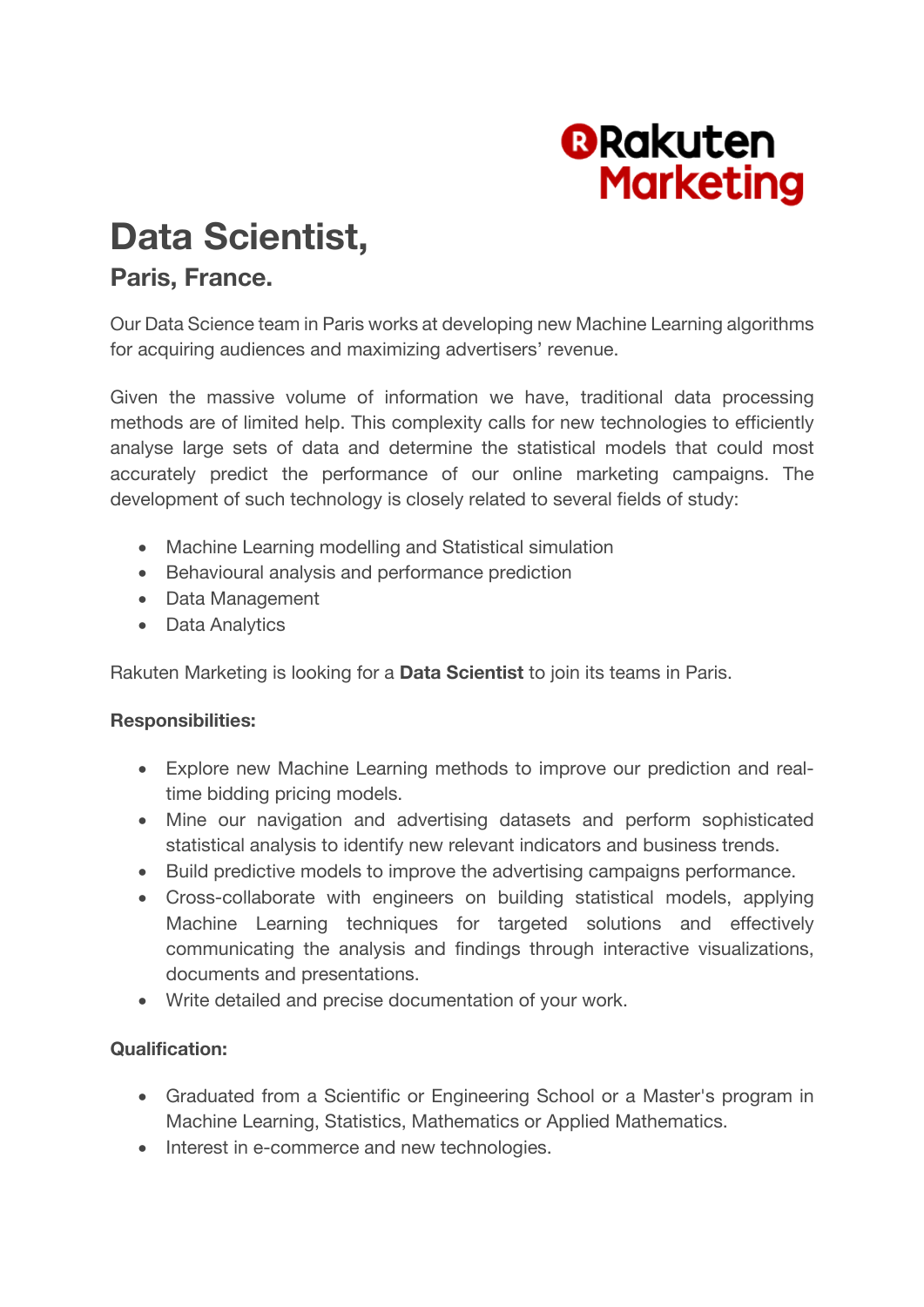

# **Data Scientist,**

## **Paris, France.**

Our Data Science team in Paris works at developing new Machine Learning algorithms for acquiring audiences and maximizing advertisers' revenue.

Given the massive volume of information we have, traditional data processing methods are of limited help. This complexity calls for new technologies to efficiently analyse large sets of data and determine the statistical models that could most accurately predict the performance of our online marketing campaigns. The development of such technology is closely related to several fields of study:

- Machine Learning modelling and Statistical simulation
- Behavioural analysis and performance prediction
- Data Management
- Data Analytics

Rakuten Marketing is looking for a **Data Scientist** to join its teams in Paris.

### **Responsibilities:**

- Explore new Machine Learning methods to improve our prediction and realtime bidding pricing models.
- Mine our navigation and advertising datasets and perform sophisticated statistical analysis to identify new relevant indicators and business trends.
- Build predictive models to improve the advertising campaigns performance.
- Cross-collaborate with engineers on building statistical models, applying Machine Learning techniques for targeted solutions and effectively communicating the analysis and findings through interactive visualizations, documents and presentations.
- Write detailed and precise documentation of your work.

### **Qualification:**

- Graduated from a Scientific or Engineering School or a Master's program in Machine Learning, Statistics, Mathematics or Applied Mathematics.
- Interest in e-commerce and new technologies.